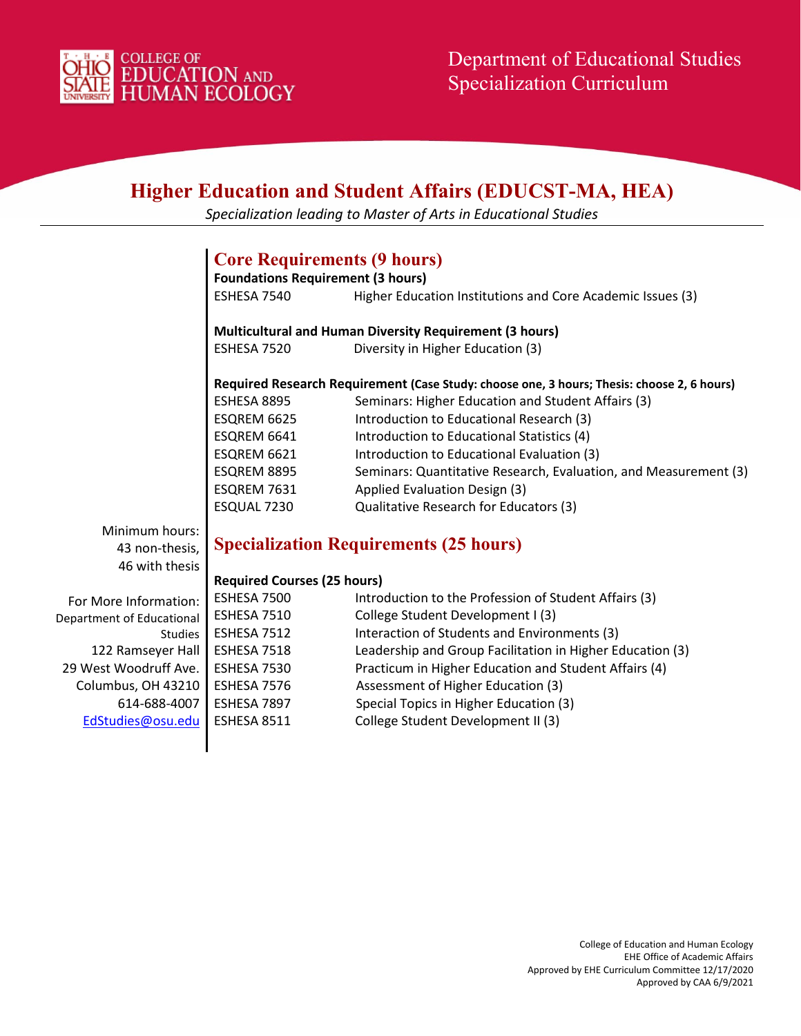

# **Higher Education and Student Affairs (EDUCST-MA, HEA)**

*Specialization leading to Master of Arts in Educational Studies*

## **Core Requirements (9 hours)**

**Foundations Requirement (3 hours)** ESHESA 7540 Higher Education Institutions and Core Academic Issues (3)

**Multicultural and Human Diversity Requirement (3 hours)** ESHESA 7520 Diversity in Higher Education (3)

#### **Required Research Requirement (Case Study: choose one, 3 hours; Thesis: choose 2, 6 hours)**

| ESHESA 8895 | Seminars: Higher Education and Student Affairs (3)               |
|-------------|------------------------------------------------------------------|
| ESQREM 6625 | Introduction to Educational Research (3)                         |
| ESQREM 6641 | Introduction to Educational Statistics (4)                       |
| ESQREM 6621 | Introduction to Educational Evaluation (3)                       |
| ESQREM 8895 | Seminars: Quantitative Research, Evaluation, and Measurement (3) |
| ESQREM 7631 | Applied Evaluation Design (3)                                    |
| ESQUAL 7230 | Qualitative Research for Educators (3)                           |
|             |                                                                  |

Minimum hours: 43 non-thesis, 46 with thesis

# **Specialization Requirements (25 hours)**

### **Required Courses (25 hours)**

| For More Information:     | ESHESA 7500 | Introduction to the Profession of Student Affairs (3)     |
|---------------------------|-------------|-----------------------------------------------------------|
| Department of Educational | ESHESA 7510 | College Student Development I (3)                         |
| <b>Studies</b>            | ESHESA 7512 | Interaction of Students and Environments (3)              |
| 122 Ramseyer Hall         | ESHESA 7518 | Leadership and Group Facilitation in Higher Education (3) |
| 29 West Woodruff Ave.     | ESHESA 7530 | Practicum in Higher Education and Student Affairs (4)     |
| Columbus, OH 43210        | ESHESA 7576 | Assessment of Higher Education (3)                        |
| 614-688-4007              | ESHESA 7897 | Special Topics in Higher Education (3)                    |
| EdStudies@osu.edu         | ESHESA 8511 | College Student Development II (3)                        |
|                           |             |                                                           |